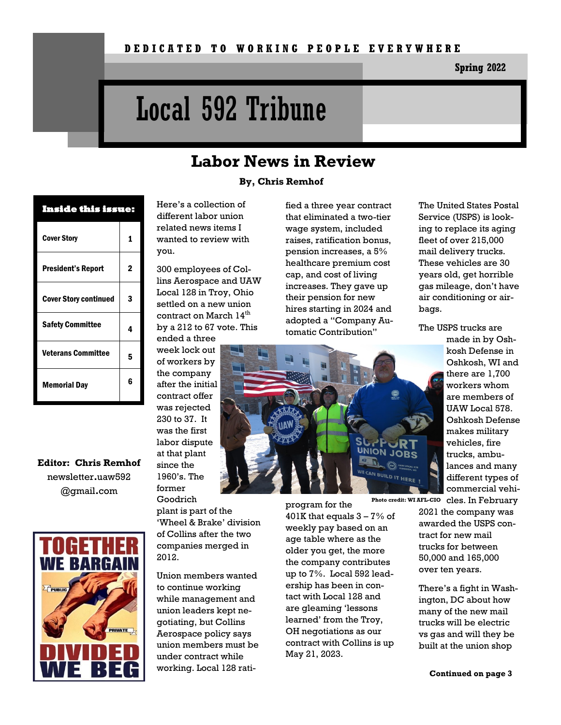**Spring 2022**

# Local 592 Tribune

### **Labor News in Review**

#### **By, Chris Remhof**

| Inside this issue:           |   |
|------------------------------|---|
| <b>Cover Story</b>           | 1 |
| <b>President's Report</b>    | 2 |
| <b>Cover Story continued</b> | 3 |
| <b>Safety Committee</b>      | 4 |
| <b>Veterans Committee</b>    | 5 |
| <b>Memorial Day</b>          | հ |

**Editor: Chris Remhof** newsletter**.**uaw592 @gmail**.**com



Here's a collection of different labor union related news items I wanted to review with you.

300 employees of Collins Aerospace and UAW Local 128 in Troy, Ohio settled on a new union contract on March 14<sup>th</sup> by a 212 to 67 vote. This ended a three

week lock out of workers by the company after the initial contract offer was rejected 230 to 37. It was the first labor dispute at that plant since the 1960's. The former

Goodrich plant is part of the 'Wheel & Brake' division of Collins after the two companies merged in 2012.

Union members wanted to continue working while management and union leaders kept negotiating, but Collins Aerospace policy says union members must be under contract while working. Local 128 ratiprogram for the 401K that equals  $3 - 7\%$  of weekly pay based on an age table where as the older you get, the more the company contributes up to 7%. Local 592 leadership has been in contact with Local 128 and are gleaming 'lessons learned' from the Troy, OH negotiations as our contract with Collins is up May 21, 2023.

The United States Postal Service (USPS) is looking to replace its aging fleet of over 215,000 mail delivery trucks. These vehicles are 30 years old, get horrible gas mileage, don't have air conditioning or airbags.

The USPS trucks are

tomatic Contribution" made in by Oshkosh Defense in Oshkosh, WI and there are 1,700 workers whom are members of UAW Local 578. Oshkosh Defense makes military vehicles, fire **UNION** trucks, ambulances and many different types of

fied a three year contract that eliminated a two-tier wage system, included raises, ratification bonus, pension increases, a 5% healthcare premium cost cap, and cost of living increases. They gave up their pension for new hires starting in 2024 and adopted a "Company Au-

> commercial vehi-Photo credit: WI AFL-CIO cles. In February 2021 the company was awarded the USPS contract for new mail trucks for between 50,000 and 165,000 over ten years.

> > There's a fight in Washington, DC about how many of the new mail trucks will be electric vs gas and will they be built at the union shop

> > > **Continued on page 3**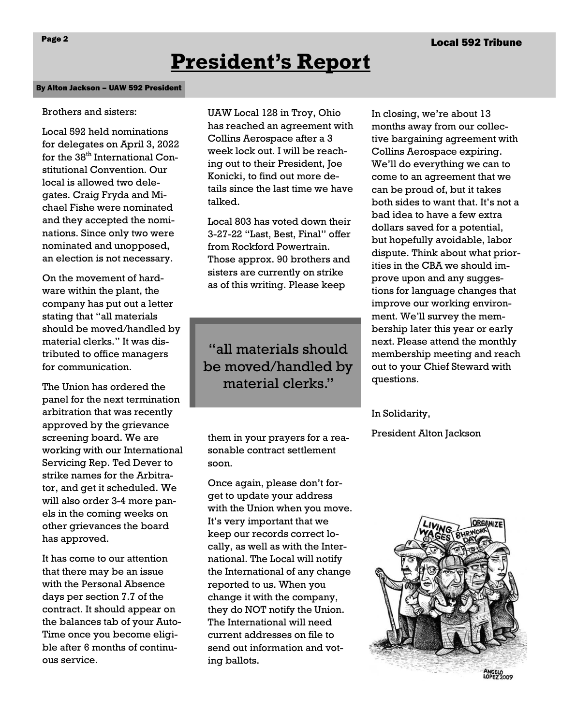## **President's Report**

#### By Alton Jackson – UAW 592 President

#### Brothers and sisters:

Local 592 held nominations for delegates on April 3, 2022 for the 38<sup>th</sup> International Constitutional Convention. Our local is allowed two delegates. Craig Fryda and Michael Fishe were nominated and they accepted the nominations. Since only two were nominated and unopposed, an election is not necessary.

On the movement of hardware within the plant, the company has put out a letter stating that "all materials should be moved/handled by material clerks." It was distributed to office managers for communication.

The Union has ordered the panel for the next termination arbitration that was recently approved by the grievance screening board. We are working with our International Servicing Rep. Ted Dever to strike names for the Arbitrator, and get it scheduled. We will also order 3-4 more panels in the coming weeks on other grievances the board has approved.

It has come to our attention that there may be an issue with the Personal Absence days per section 7.7 of the contract. It should appear on the balances tab of your Auto-Time once you become eligible after 6 months of continuous service.

UAW Local 128 in Troy, Ohio has reached an agreement with Collins Aerospace after a 3 week lock out. I will be reaching out to their President, Joe Konicki, to find out more details since the last time we have talked.

Local 803 has voted down their 3-27-22 "Last, Best, Final" offer from Rockford Powertrain. Those approx. 90 brothers and sisters are currently on strike as of this writing. Please keep

"all materials should be moved/handled by material clerks."

them in your prayers for a reasonable contract settlement soon.

Once again, please don't forget to update your address with the Union when you move. It's very important that we keep our records correct locally, as well as with the International. The Local will notify the International of any change reported to us. When you change it with the company, they do NOT notify the Union. The International will need current addresses on file to send out information and voting ballots.

In closing, we're about 13 months away from our collective bargaining agreement with Collins Aerospace expiring. We'll do everything we can to come to an agreement that we can be proud of, but it takes both sides to want that. It's not a bad idea to have a few extra dollars saved for a potential, but hopefully avoidable, labor dispute. Think about what priorities in the CBA we should improve upon and any suggestions for language changes that improve our working environment. We'll survey the membership later this year or early next. Please attend the monthly membership meeting and reach out to your Chief Steward with questions.

#### In Solidarity,

President Alton Jackson

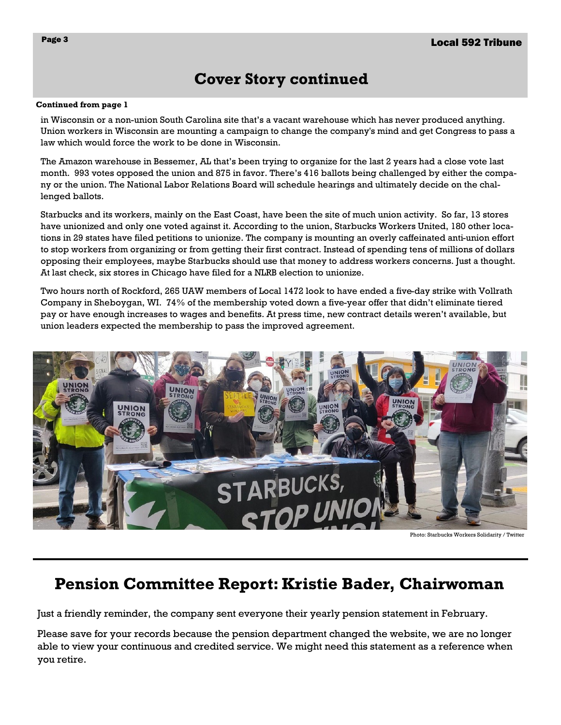## **Cover Story continued**

#### **Continued from page 1**

in Wisconsin or a non-union South Carolina site that's a vacant warehouse which has never produced anything. Union workers in Wisconsin are mounting a campaign to change the company's mind and get Congress to pass a law which would force the work to be done in Wisconsin.

The Amazon warehouse in Bessemer, AL that's been trying to organize for the last 2 years had a close vote last month. 993 votes opposed the union and 875 in favor. There's 416 ballots being challenged by either the company or the union. The National Labor Relations Board will schedule hearings and ultimately decide on the challenged ballots.

Starbucks and its workers, mainly on the East Coast, have been the site of much union activity. So far, 13 stores have unionized and only one voted against it. According to the union, Starbucks Workers United, 180 other locations in 29 states have filed petitions to unionize. The company is mounting an overly caffeinated anti-union effort to stop workers from organizing or from getting their first contract. Instead of spending tens of millions of dollars opposing their employees, maybe Starbucks should use that money to address workers concerns. Just a thought. At last check, six stores in Chicago have filed for a NLRB election to unionize.

Two hours north of Rockford, 265 UAW members of Local 1472 look to have ended a five-day strike with Vollrath Company in Sheboygan, WI. 74% of the membership voted down a five-year offer that didn't eliminate tiered pay or have enough increases to wages and benefits. At press time, new contract details weren't available, but union leaders expected the membership to pass the improved agreement.



Photo: Starbucks Workers Solidarity / Twitter

## **Pension Committee Report: Kristie Bader, Chairwoman**

Just a friendly reminder, the company sent everyone their yearly pension statement in February.

Please save for your records because the pension department changed the website, we are no longer able to view your continuous and credited service. We might need this statement as a reference when you retire.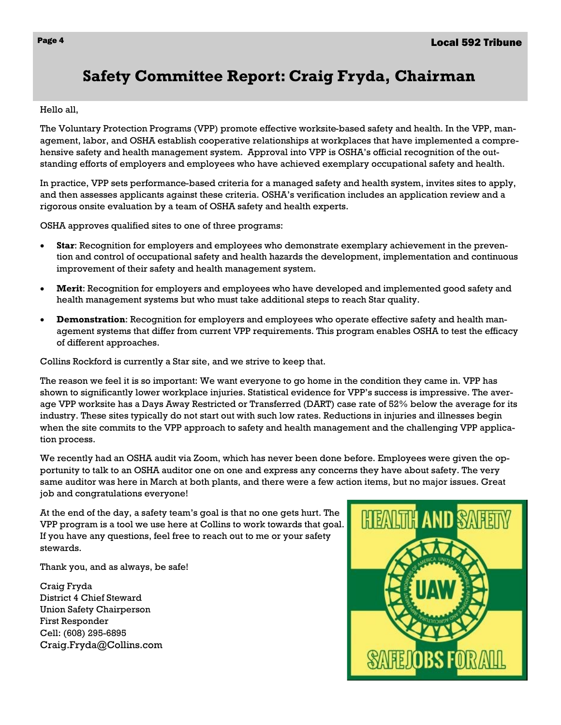## **Safety Committee Report: Craig Fryda, Chairman**

Hello all,

The Voluntary Protection Programs (VPP) promote effective worksite-based safety and health. In the VPP, management, labor, and OSHA establish cooperative relationships at workplaces that have implemented a comprehensive safety and health management system. Approval into VPP is OSHA's official recognition of the outstanding efforts of employers and employees who have achieved exemplary occupational safety and health.

In practice, VPP sets performance-based criteria for a managed safety and health system, invites sites to apply, and then assesses applicants against these criteria. OSHA's verification includes an application review and a rigorous onsite evaluation by a team of OSHA safety and health experts.

OSHA approves qualified sites to one of three programs:

- **Star**: Recognition for employers and employees who demonstrate exemplary achievement in the prevention and control of occupational safety and health hazards the development, implementation and continuous improvement of their safety and health management system.
- **Merit**: Recognition for employers and employees who have developed and implemented good safety and health management systems but who must take additional steps to reach Star quality.
- **Demonstration**: Recognition for employers and employees who operate effective safety and health management systems that differ from current VPP requirements. This program enables OSHA to test the efficacy of different approaches.

Collins Rockford is currently a Star site, and we strive to keep that.

The reason we feel it is so important: We want everyone to go home in the condition they came in. VPP has shown to significantly lower workplace injuries. Statistical evidence for VPP's success is impressive. The average VPP worksite has a Days Away Restricted or Transferred (DART) case rate of 52% below the average for its industry. These sites typically do not start out with such low rates. Reductions in injuries and illnesses begin when the site commits to the VPP approach to safety and health management and the challenging VPP application process.

We recently had an OSHA audit via Zoom, which has never been done before. Employees were given the opportunity to talk to an OSHA auditor one on one and express any concerns they have about safety. The very same auditor was here in March at both plants, and there were a few action items, but no major issues. Great job and congratulations everyone!

At the end of the day, a safety team's goal is that no one gets hurt. The VPP program is a tool we use here at Collins to work towards that goal. If you have any questions, feel free to reach out to me or your safety stewards.

Thank you, and as always, be safe!

Craig Fryda District 4 Chief Steward Union Safety Chairperson First Responder Cell: (608) 295-6895 Craig.Fryda@Collins.com

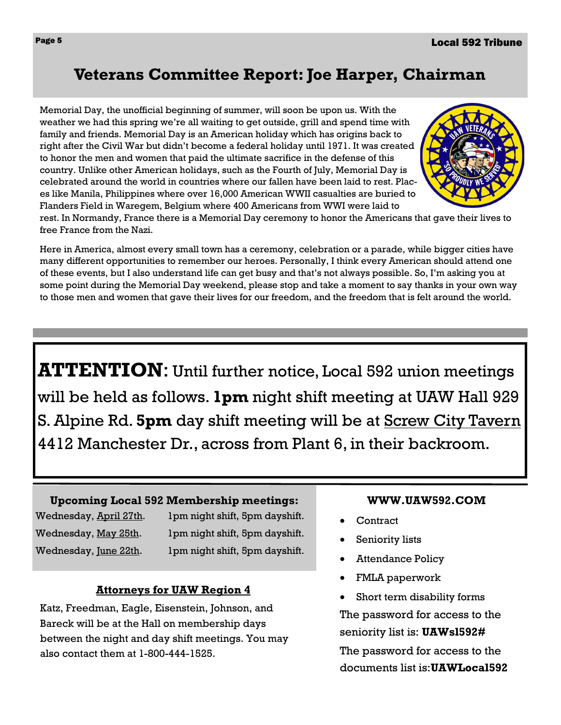## **Veterans Committee Report: Joe Harper, Chairman**

Memorial Day, the unofficial beginning of summer, will soon be upon us. With the weather we had this spring we're all waiting to get outside, grill and spend time with family and friends. Memorial Day is an American holiday which has origins back to right after the Civil War but didn't become a federal holiday until 1971. It was created to honor the men and women that paid the ultimate sacrifice in the defense of this country. Unlike other American holidays, such as the Fourth of July, Memorial Day is celebrated around the world in countries where our fallen have been laid to rest. Places like Manila, Philippines where over 16,000 American WWII casualties are buried to Flanders Field in Waregem, Belgium where 400 Americans from WWI were laid to



rest. In Normandy, France there is a Memorial Day ceremony to honor the Americans that gave their lives to free France from the Nazi.

Here in America, almost every small town has a ceremony, celebration or a parade, while bigger cities have many different opportunities to remember our heroes. Personally, I think every American should attend one of these events, but I also understand life can get busy and that's not always possible. So, I'm asking you at some point during the Memorial Day weekend, please stop and take a moment to say thanks in your own way to those men and women that gave their lives for our freedom, and the freedom that is felt around the world.

**ATTENTION**: Until further notice, Local 592 union meetings will be held as follows. **1pm** night shift meeting at UAW Hall 929 S. Alpine Rd. **5pm** day shift meeting will be at Screw City Tavern 4412 Manchester Dr., across from Plant 6, in their backroom.

#### **Upcoming Local 592 Membership meetings:**

Wednesday, April 27th. 1pm night shift, 5pm dayshift. Wednesday, May 25th. 1pm night shift, 5pm dayshift. Wednesday, <u>June 22th</u>. 1pm night shift, 5pm dayshift.

#### **Attorneys for UAW Region 4**

Katz, Freedman, Eagle, Eisenstein, Johnson, and Bareck will be at the Hall on membership days between the night and day shift meetings. You may also contact them at 1-800-444-1525.

#### **WWW.UAW592.COM**

- **Contract**
- Seniority lists
- **Attendance Policy**
- FMLA paperwork
- Short term disability forms

The password for access to the seniority list is: **UAWsl592#** The password for access to the documents list is:**UAWLocal592**